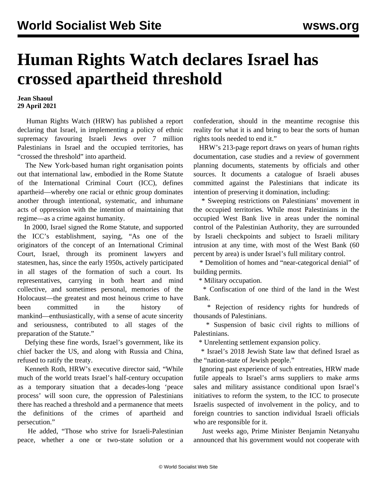## **Human Rights Watch declares Israel has crossed apartheid threshold**

**Jean Shaoul 29 April 2021**

 Human Rights Watch (HRW) has published a report declaring that Israel, in implementing a policy of ethnic supremacy favouring Israeli Jews over 7 million Palestinians in Israel and the occupied territories, has "crossed the threshold" into apartheid.

 The New York-based human right organisation points out that international law, embodied in the Rome Statute of the International Criminal Court (ICC), defines apartheid—whereby one racial or ethnic group dominates another through intentional, systematic, and inhumane acts of oppression with the intention of maintaining that regime—as a crime against humanity.

 In 2000, Israel signed the Rome Statute, and supported the ICC's establishment, saying, "As one of the originators of the concept of an International Criminal Court, Israel, through its prominent lawyers and statesmen, has, since the early 1950s, actively participated in all stages of the formation of such a court. Its representatives, carrying in both heart and mind collective, and sometimes personal, memories of the Holocaust—the greatest and most heinous crime to have been committed in the history of mankind—enthusiastically, with a sense of acute sincerity and seriousness, contributed to all stages of the preparation of the Statute."

 Defying these fine words, Israel's government, like its chief backer the US, and along with Russia and China, refused to ratify the treaty.

 Kenneth Roth, HRW's executive director said, "While much of the world treats Israel's half-century occupation as a temporary situation that a decades-long 'peace process' will soon cure, the oppression of Palestinians there has reached a threshold and a permanence that meets the definitions of the crimes of apartheid and persecution."

 He added, "Those who strive for Israeli-Palestinian peace, whether a one or two-state solution or a confederation, should in the meantime recognise this reality for what it is and bring to bear the sorts of human rights tools needed to end it."

 HRW's 213-page report draws on years of human rights documentation, case studies and a review of government planning documents, statements by officials and other sources. It documents a catalogue of Israeli abuses committed against the Palestinians that indicate its intention of preserving it domination, including:

 \* Sweeping restrictions on Palestinians' movement in the occupied territories. While most Palestinians in the occupied West Bank live in areas under the nominal control of the Palestinian Authority, they are surrounded by Israeli checkpoints and subject to Israeli military intrusion at any time, with most of the West Bank (60 percent by area) is under Israel's full military control.

 \* Demolition of homes and "near-categorical denial" of building permits.

\* Military occupation.

 \* Confiscation of one third of the land in the West Bank.

 \* Rejection of residency rights for hundreds of thousands of Palestinians.

 \* Suspension of basic civil rights to millions of Palestinians.

\* Unrelenting settlement expansion policy.

 \* Israel's 2018 Jewish State law that defined Israel as the "nation-state of Jewish people."

 Ignoring past experience of such entreaties, HRW made futile appeals to Israel's arms suppliers to make arms sales and military assistance conditional upon Israel's initiatives to reform the system, to the ICC to prosecute Israelis suspected of involvement in the policy, and to foreign countries to sanction individual Israeli officials who are responsible for it.

 Just weeks ago, Prime Minister Benjamin Netanyahu announced that his government would not cooperate with